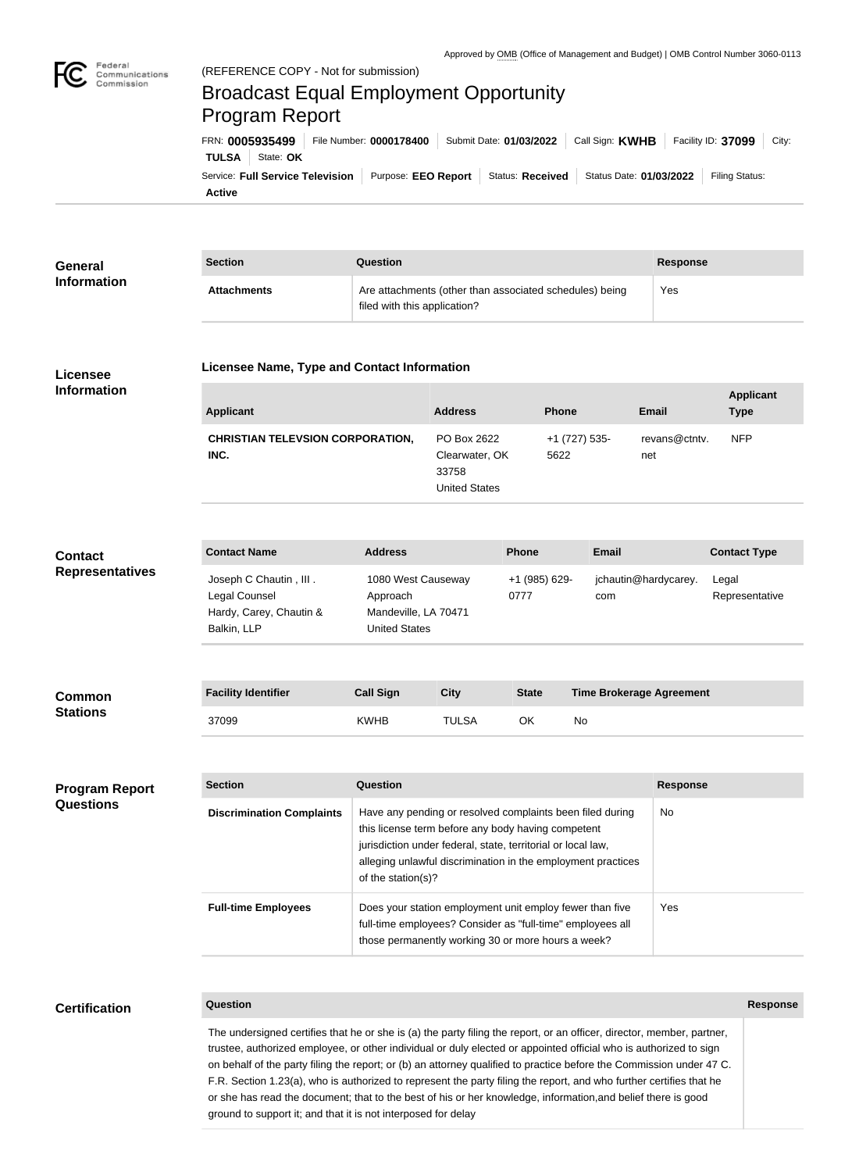

Federal

## Broadcast Equal Employment Opportunity Program Report

**Active** Service: Full Service Television | Purpose: EEO Report | Status: Received | Status Date: 01/03/2022 | Filing Status: **TULSA** | State: OK FRN: **0005935499** File Number: **0000178400** Submit Date: **01/03/2022** Call Sign: **KWHB** Facility ID: **37099** City:

| General                                   | <b>Section</b>                                                                    | <b>Question</b>                                                                                                                                                                                                                                                             |                                                                |              |                                 |                      | <b>Response</b>                 |  |
|-------------------------------------------|-----------------------------------------------------------------------------------|-----------------------------------------------------------------------------------------------------------------------------------------------------------------------------------------------------------------------------------------------------------------------------|----------------------------------------------------------------|--------------|---------------------------------|----------------------|---------------------------------|--|
| <b>Information</b>                        | <b>Attachments</b>                                                                | Are attachments (other than associated schedules) being<br>filed with this application?                                                                                                                                                                                     |                                                                |              |                                 | Yes                  |                                 |  |
| Licensee                                  | Licensee Name, Type and Contact Information                                       |                                                                                                                                                                                                                                                                             |                                                                |              |                                 |                      |                                 |  |
| <b>Information</b>                        | <b>Applicant</b>                                                                  |                                                                                                                                                                                                                                                                             | <b>Address</b>                                                 |              | <b>Phone</b>                    | <b>Email</b>         | <b>Applicant</b><br><b>Type</b> |  |
|                                           | <b>CHRISTIAN TELEVSION CORPORATION,</b><br>INC.                                   |                                                                                                                                                                                                                                                                             | PO Box 2622<br>Clearwater, OK<br>33758<br><b>United States</b> |              | +1 (727) 535-<br>5622           | revans@ctntv.<br>net | <b>NFP</b>                      |  |
| <b>Contact</b><br><b>Representatives</b>  | <b>Contact Name</b>                                                               | <b>Address</b>                                                                                                                                                                                                                                                              |                                                                | <b>Phone</b> | <b>Email</b>                    |                      | <b>Contact Type</b>             |  |
|                                           | Joseph C Chautin, III.<br>Legal Counsel<br>Hardy, Carey, Chautin &<br>Balkin, LLP | 1080 West Causeway<br>Approach<br>Mandeville, LA 70471<br><b>United States</b>                                                                                                                                                                                              | +1 (985) 629-<br>0777                                          |              | com                             | jchautin@hardycarey. | Legal<br>Representative         |  |
|                                           |                                                                                   |                                                                                                                                                                                                                                                                             |                                                                |              |                                 |                      |                                 |  |
| <b>Common</b><br><b>Stations</b>          | <b>Facility Identifier</b>                                                        | <b>Call Sign</b>                                                                                                                                                                                                                                                            | <b>City</b>                                                    | <b>State</b> | <b>Time Brokerage Agreement</b> |                      |                                 |  |
|                                           | 37099                                                                             | <b>KWHB</b>                                                                                                                                                                                                                                                                 | <b>TULSA</b>                                                   | OK           | No                              |                      |                                 |  |
| <b>Program Report</b><br><b>Questions</b> | <b>Section</b>                                                                    | Question                                                                                                                                                                                                                                                                    |                                                                |              |                                 | <b>Response</b>      |                                 |  |
|                                           | <b>Discrimination Complaints</b>                                                  | Have any pending or resolved complaints been filed during<br>No<br>this license term before any body having competent<br>jurisdiction under federal, state, territorial or local law,<br>alleging unlawful discrimination in the employment practices<br>of the station(s)? |                                                                |              |                                 |                      |                                 |  |
|                                           | <b>Full-time Employees</b>                                                        | Does your station employment unit employ fewer than five<br>full-time employees? Consider as "full-time" employees all<br>those permanently working 30 or more hours a week?                                                                                                |                                                                |              |                                 |                      |                                 |  |
|                                           |                                                                                   |                                                                                                                                                                                                                                                                             |                                                                |              |                                 |                      |                                 |  |
| <b>Certification</b>                      | Question                                                                          |                                                                                                                                                                                                                                                                             |                                                                |              |                                 |                      | <b>Response</b>                 |  |

The undersigned certifies that he or she is (a) the party filing the report, or an officer, director, member, partner, trustee, authorized employee, or other individual or duly elected or appointed official who is authorized to sign on behalf of the party filing the report; or (b) an attorney qualified to practice before the Commission under 47 C. F.R. Section 1.23(a), who is authorized to represent the party filing the report, and who further certifies that he or she has read the document; that to the best of his or her knowledge, information,and belief there is good ground to support it; and that it is not interposed for delay